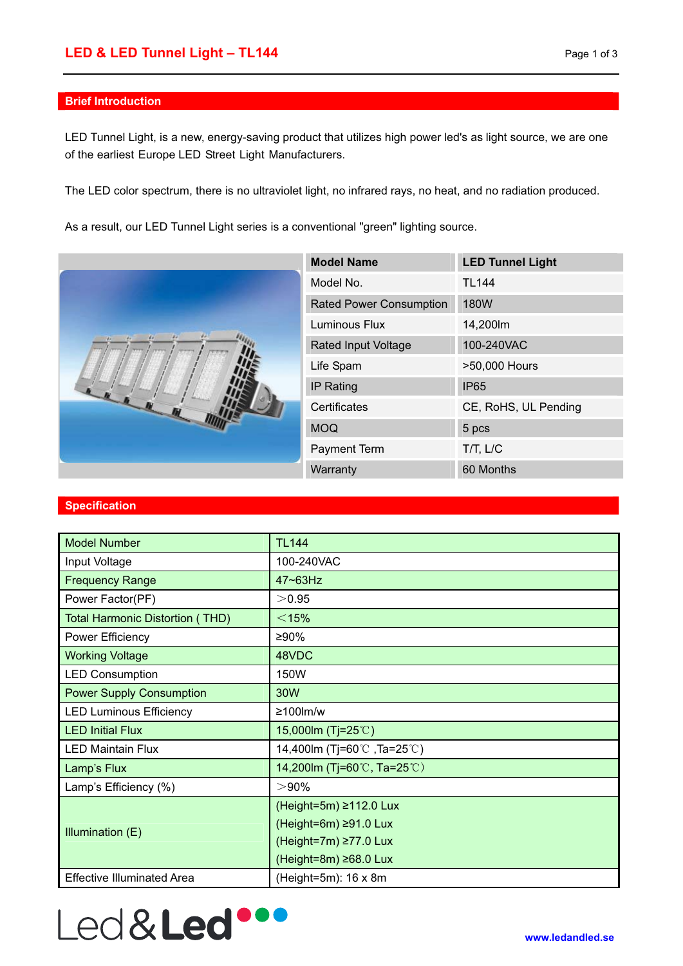### **Brief Introduction**

LED Tunnel Light, is a new, energy-saving product that utilizes high power led's as light source, we are one of the earliest Europe LED Street Light Manufacturers.

The LED color spectrum, there is no ultraviolet light, no infrared rays, no heat, and no radiation produced.

As a result, our LED Tunnel Light series is a conventional "green" lighting source.



| <b>Model Name</b>              | <b>LED Tunnel Light</b> |
|--------------------------------|-------------------------|
| Model No.                      | <b>TL144</b>            |
| <b>Rated Power Consumption</b> | 180W                    |
| Luminous Flux                  | 14,200m                 |
| <b>Rated Input Voltage</b>     | 100-240VAC              |
| Life Spam                      | >50,000 Hours           |
| <b>IP Rating</b>               | IP <sub>65</sub>        |
| Certificates                   | CE, RoHS, UL Pending    |
| <b>MOQ</b>                     | 5 pcs                   |
| <b>Payment Term</b>            | $T/T$ , $L/C$           |
| Warranty                       | 60 Months               |

#### **Specification**

| <b>Model Number</b>                    | <b>TL144</b>                 |
|----------------------------------------|------------------------------|
| Input Voltage                          | 100-240VAC                   |
| <b>Frequency Range</b>                 | 47~63Hz                      |
| Power Factor(PF)                       | >0.95                        |
| <b>Total Harmonic Distortion (THD)</b> | $<$ 15%                      |
| Power Efficiency                       | ≥90%                         |
| <b>Working Voltage</b>                 | 48VDC                        |
| <b>LED Consumption</b>                 | 150W                         |
| <b>Power Supply Consumption</b>        | 30W                          |
| <b>LED Luminous Efficiency</b>         | $≥100$ lm/w                  |
| <b>LED Initial Flux</b>                | 15,000lm (Tj=25℃)            |
| <b>LED Maintain Flux</b>               | 14,400lm (Tj=60℃, Ta=25℃)    |
| Lamp's Flux                            | 14,200 lm (Ti=60 ℃, Ta=25 ℃) |
| Lamp's Efficiency (%)                  | $> 90\%$                     |
| Illumination (E)                       | (Height=5m) ≥112.0 Lux       |
|                                        | $(Height=6m) \geq 91.0$ Lux  |
|                                        | (Height=7m) ≥77.0 Lux        |
|                                        | $(Height=8m) \ge 68.0$ Lux   |
| <b>Effective Illuminated Area</b>      | $(Height=5m)$ : 16 x 8m      |

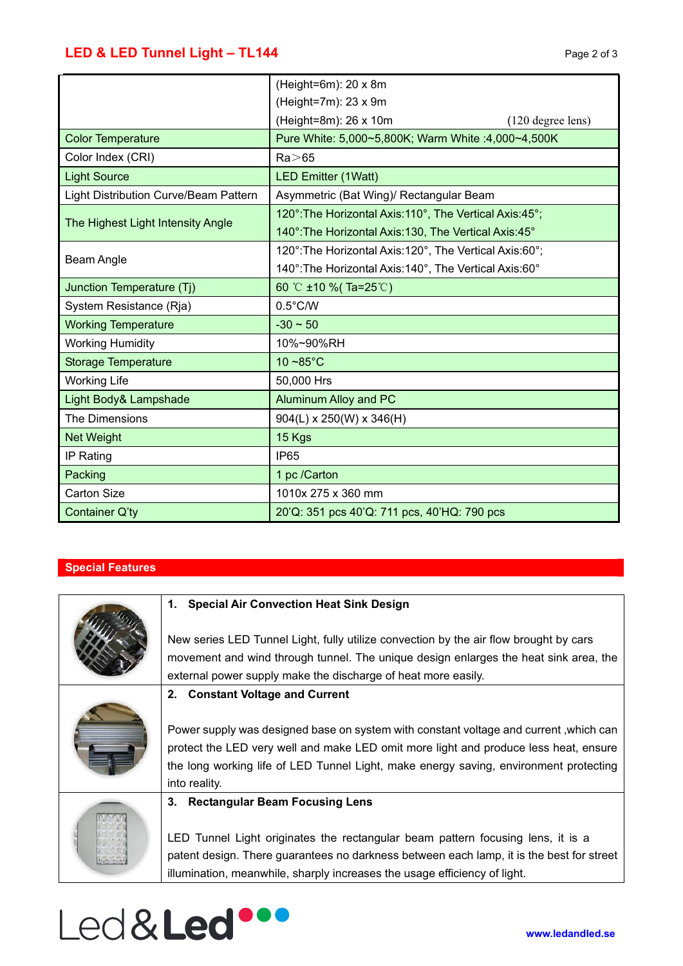|                                              | (Height=6m): $20 \times 8m$                              |
|----------------------------------------------|----------------------------------------------------------|
|                                              | (Height=7m): $23 \times 9m$                              |
|                                              | (Height=8m): 26 x 10m<br>$(120$ degree lens)             |
| <b>Color Temperature</b>                     | Pure White: 5,000~5,800K; Warm White :4,000~4,500K       |
| Color Index (CRI)                            | $Ra$ $>$ 65                                              |
| <b>Light Source</b>                          | <b>LED Emitter (1Watt)</b>                               |
| <b>Light Distribution Curve/Beam Pattern</b> | Asymmetric (Bat Wing)/ Rectangular Beam                  |
| The Highest Light Intensity Angle            | 120°: The Horizontal Axis: 110°, The Vertical Axis: 45°; |
|                                              | 140°: The Horizontal Axis: 130, The Vertical Axis: 45°   |
| Beam Angle                                   | 120°: The Horizontal Axis: 120°, The Vertical Axis: 60°; |
|                                              | 140°: The Horizontal Axis: 140°, The Vertical Axis: 60°  |
| Junction Temperature (Tj)                    | 60 °C ±10 % (Ta=25°C)                                    |
| System Resistance (Rja)                      | $0.5^{\circ}$ C/W                                        |
| <b>Working Temperature</b>                   | $-30 \sim 50$                                            |
| <b>Working Humidity</b>                      | 10%~90%RH                                                |
| <b>Storage Temperature</b>                   | $10 - 85^{\circ}$ C                                      |
| <b>Working Life</b>                          | 50,000 Hrs                                               |
| Light Body& Lampshade                        | <b>Aluminum Alloy and PC</b>                             |
| The Dimensions                               | $904(L) \times 250(W) \times 346(H)$                     |
| <b>Net Weight</b>                            | 15 Kgs                                                   |
| IP Rating                                    | <b>IP65</b>                                              |
| Packing                                      | 1 pc /Carton                                             |
| <b>Carton Size</b>                           | 1010x 275 x 360 mm                                       |
| Container Q'ty                               | 20'Q: 351 pcs 40'Q: 711 pcs, 40'HQ: 790 pcs              |

# **Special Features**

| 1. Special Air Convection Heat Sink Design                                                                                                                                                                                                                                              |
|-----------------------------------------------------------------------------------------------------------------------------------------------------------------------------------------------------------------------------------------------------------------------------------------|
| New series LED Tunnel Light, fully utilize convection by the air flow brought by cars<br>movement and wind through tunnel. The unique design enlarges the heat sink area, the<br>external power supply make the discharge of heat more easily.                                          |
| 2. Constant Voltage and Current                                                                                                                                                                                                                                                         |
| Power supply was designed base on system with constant voltage and current, which can<br>protect the LED very well and make LED omit more light and produce less heat, ensure<br>the long working life of LED Tunnel Light, make energy saving, environment protecting<br>into reality. |
| 3. Rectangular Beam Focusing Lens                                                                                                                                                                                                                                                       |
| LED Tunnel Light originates the rectangular beam pattern focusing lens, it is a<br>patent design. There guarantees no darkness between each lamp, it is the best for street<br>illumination, meanwhile, sharply increases the usage efficiency of light.                                |

# Led&Led ...